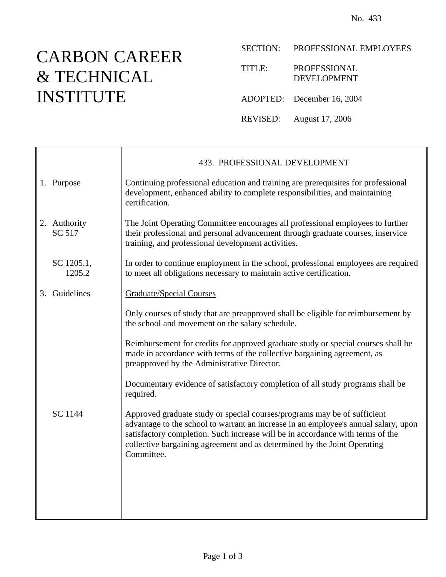## CARBON CAREER & TECHNICAL INSTITUTE

SECTION: PROFESSIONAL EMPLOYEES

| TITLE: | <b>PROFESSIONAL</b> |
|--------|---------------------|
|        | DEVEL OPMENT        |
|        |                     |

ADOPTED: December 16, 2004

REVISED: August 17, 2006

|  |                        | 433. PROFESSIONAL DEVELOPMENT                                                                                                                                                                                                                                                                                                               |
|--|------------------------|---------------------------------------------------------------------------------------------------------------------------------------------------------------------------------------------------------------------------------------------------------------------------------------------------------------------------------------------|
|  | 1. Purpose             | Continuing professional education and training are prerequisites for professional<br>development, enhanced ability to complete responsibilities, and maintaining<br>certification.                                                                                                                                                          |
|  | 2. Authority<br>SC 517 | The Joint Operating Committee encourages all professional employees to further<br>their professional and personal advancement through graduate courses, inservice<br>training, and professional development activities.                                                                                                                     |
|  | SC 1205.1,<br>1205.2   | In order to continue employment in the school, professional employees are required<br>to meet all obligations necessary to maintain active certification.                                                                                                                                                                                   |
|  | 3. Guidelines          | <b>Graduate/Special Courses</b>                                                                                                                                                                                                                                                                                                             |
|  |                        | Only courses of study that are preapproved shall be eligible for reimbursement by<br>the school and movement on the salary schedule.                                                                                                                                                                                                        |
|  |                        | Reimbursement for credits for approved graduate study or special courses shall be<br>made in accordance with terms of the collective bargaining agreement, as<br>preapproved by the Administrative Director.                                                                                                                                |
|  |                        | Documentary evidence of satisfactory completion of all study programs shall be<br>required.                                                                                                                                                                                                                                                 |
|  | SC 1144                | Approved graduate study or special courses/programs may be of sufficient<br>advantage to the school to warrant an increase in an employee's annual salary, upon<br>satisfactory completion. Such increase will be in accordance with terms of the<br>collective bargaining agreement and as determined by the Joint Operating<br>Committee. |
|  |                        |                                                                                                                                                                                                                                                                                                                                             |
|  |                        |                                                                                                                                                                                                                                                                                                                                             |
|  |                        |                                                                                                                                                                                                                                                                                                                                             |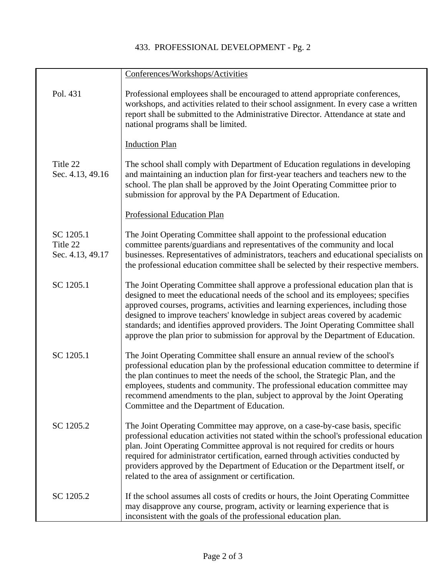## 433. PROFESSIONAL DEVELOPMENT - Pg. 2

|                                           | Conferences/Workshops/Activities                                                                                                                                                                                                                                                                                                                                                                                                                                                                                     |
|-------------------------------------------|----------------------------------------------------------------------------------------------------------------------------------------------------------------------------------------------------------------------------------------------------------------------------------------------------------------------------------------------------------------------------------------------------------------------------------------------------------------------------------------------------------------------|
| Pol. 431                                  | Professional employees shall be encouraged to attend appropriate conferences,<br>workshops, and activities related to their school assignment. In every case a written<br>report shall be submitted to the Administrative Director. Attendance at state and<br>national programs shall be limited.                                                                                                                                                                                                                   |
|                                           | <b>Induction Plan</b>                                                                                                                                                                                                                                                                                                                                                                                                                                                                                                |
| Title 22<br>Sec. 4.13, 49.16              | The school shall comply with Department of Education regulations in developing<br>and maintaining an induction plan for first-year teachers and teachers new to the<br>school. The plan shall be approved by the Joint Operating Committee prior to<br>submission for approval by the PA Department of Education.                                                                                                                                                                                                    |
|                                           | <b>Professional Education Plan</b>                                                                                                                                                                                                                                                                                                                                                                                                                                                                                   |
| SC 1205.1<br>Title 22<br>Sec. 4.13, 49.17 | The Joint Operating Committee shall appoint to the professional education<br>committee parents/guardians and representatives of the community and local<br>businesses. Representatives of administrators, teachers and educational specialists on<br>the professional education committee shall be selected by their respective members.                                                                                                                                                                             |
| SC 1205.1                                 | The Joint Operating Committee shall approve a professional education plan that is<br>designed to meet the educational needs of the school and its employees; specifies<br>approved courses, programs, activities and learning experiences, including those<br>designed to improve teachers' knowledge in subject areas covered by academic<br>standards; and identifies approved providers. The Joint Operating Committee shall<br>approve the plan prior to submission for approval by the Department of Education. |
| SC 1205.1                                 | The Joint Operating Committee shall ensure an annual review of the school's<br>professional education plan by the professional education committee to determine if<br>the plan continues to meet the needs of the school, the Strategic Plan, and the<br>employees, students and community. The professional education committee may<br>recommend amendments to the plan, subject to approval by the Joint Operating<br>Committee and the Department of Education.                                                   |
| SC 1205.2                                 | The Joint Operating Committee may approve, on a case-by-case basis, specific<br>professional education activities not stated within the school's professional education<br>plan. Joint Operating Committee approval is not required for credits or hours<br>required for administrator certification, earned through activities conducted by<br>providers approved by the Department of Education or the Department itself, or<br>related to the area of assignment or certification.                                |
| SC 1205.2                                 | If the school assumes all costs of credits or hours, the Joint Operating Committee<br>may disapprove any course, program, activity or learning experience that is<br>inconsistent with the goals of the professional education plan.                                                                                                                                                                                                                                                                                 |